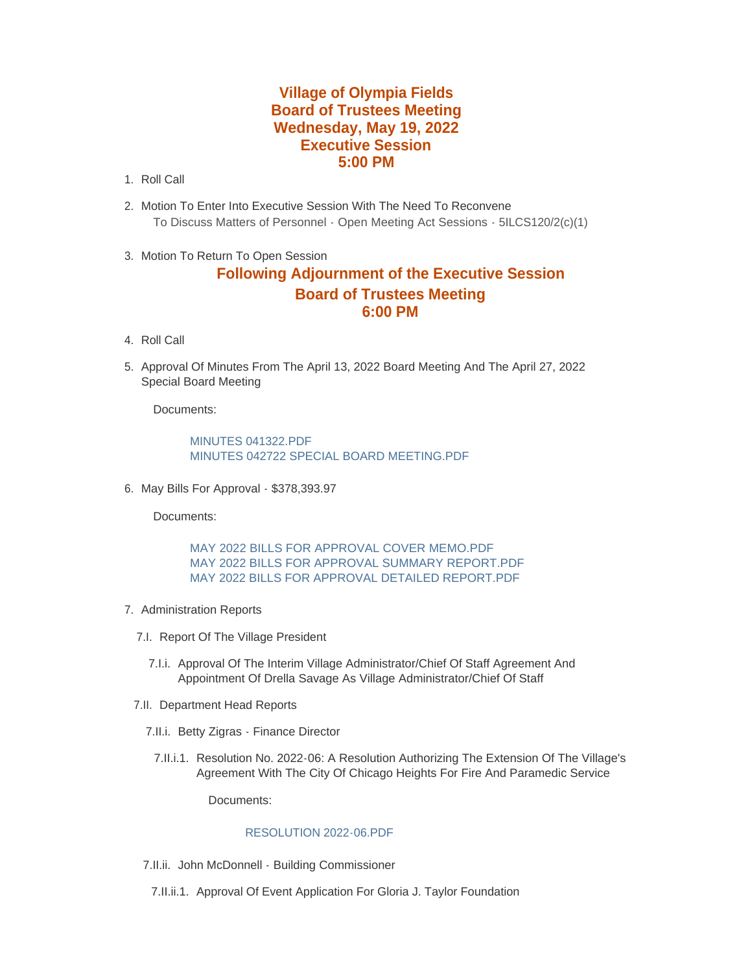## **Village of Olympia Fields Board of Trustees Meeting Wednesday, May 19, 2022 Executive Session 5:00 PM**

- 1. Roll Call
- Motion To Enter Into Executive Session With The Need To Reconvene 2. To Discuss Matters of Personnel - Open Meeting Act Sessions - 5ILCS120/2(c)(1)
- 3. Motion To Return To Open Session

## **Following Adjournment of the Executive Session Board of Trustees Meeting 6:00 PM**

- 4. Roll Call
- 5. Approval Of Minutes From The April 13, 2022 Board Meeting And The April 27, 2022 Special Board Meeting

Documents:

MINUTES 041322 PDF [MINUTES 042722 SPECIAL BOARD MEETING.PDF](https://www.olympia-fields.com/AgendaCenter/ViewFile/Item/2274?fileID=2205)

6. May Bills For Approval - \$378,393.97

Documents:

[MAY 2022 BILLS FOR APPROVAL COVER MEMO.PDF](https://www.olympia-fields.com/AgendaCenter/ViewFile/Item/2275?fileID=2211) [MAY 2022 BILLS FOR APPROVAL SUMMARY REPORT.PDF](https://www.olympia-fields.com/AgendaCenter/ViewFile/Item/2275?fileID=2213) [MAY 2022 BILLS FOR APPROVAL DETAILED REPORT.PDF](https://www.olympia-fields.com/AgendaCenter/ViewFile/Item/2275?fileID=2212)

- 7. Administration Reports
	- 7.I. Report Of The Village President
		- 7.I.i. Approval Of The Interim Village Administrator/Chief Of Staff Agreement And Appointment Of Drella Savage As Village Administrator/Chief Of Staff
	- 7.II. Department Head Reports
		- 7.II.i. Betty Zigras Finance Director
			- 7.II.i.1. Resolution No. 2022-06: A Resolution Authorizing The Extension Of The Village's Agreement With The City Of Chicago Heights For Fire And Paramedic Service

Documents:

## [RESOLUTION 2022-06.PDF](https://www.olympia-fields.com/AgendaCenter/ViewFile/Item/2306?fileID=2214)

- 7.II.ii. John McDonnell Building Commissioner
- 7.II.ii.1. Approval Of Event Application For Gloria J. Taylor Foundation